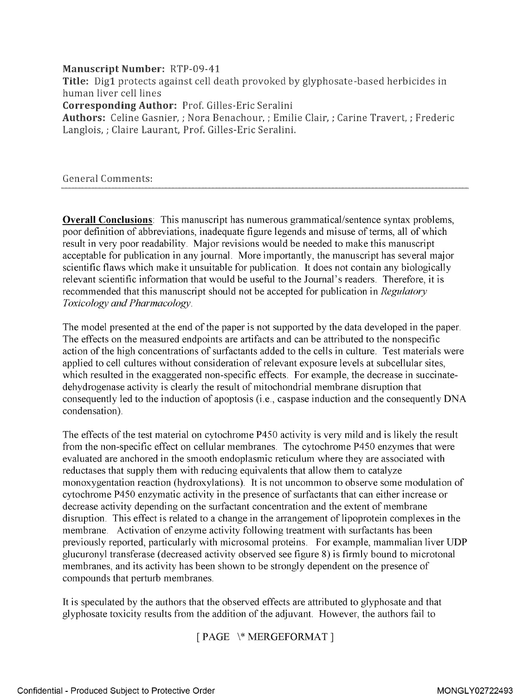#### Manuscript Number: RTP-09-41

Title: Digl protects against cell death provoked by glyphosate -based herbicides in human liver cell lines Corresponding Author: Prof. Gilles-Eric Seralini Authors: Celine Gasnier, ; Nora Benachour, ; Emilie Clair, ; Carine Travert, ; Frederic Langlois, ; Claire Laurant, Prof. Gilles-Eric Seralini.

General Comments:

**Overall Conclusions**: This manuscript has numerous grammatical/sentence syntax problems, poor definition of abbreviations, inadequate figure legends and misuse of terms, all of which result in very poor readability. Major revisions would be needed to make this manuscript acceptable for publication in any journal. More importantly, the manuscript has several major scientific flaws which make it unsuitable for publication. It does not contain any biologically relevant scientific information that would be useful to the Journal's readers. Therefore, it is recommended that this manuscript should not be accepted for publication in Regulatory Toxicology and Pharmacology.

The model presented at the end of the paper is not supported by the data developed in the paper. The effects on the measured endpoints are artifacts and can be attributed to the nonspecific action of the high concentrations of surfactants added to the cells in culture. Test materials were applied to cell cultures without consideration of relevant exposure levels at subcellular sites, which resulted in the exaggerated non-specific effects. For example, the decrease in succinatedehydrogenase activity is clearly the result of mitochondrial membrane disruption that consequently led to the induction of apoptosis (i.e., caspase induction and the consequently DNA condensation).

The effects of the test material on cytochrome P450 activity is very mild and is likely the result from the non-specific effect on cellular membranes. The cytochrome P450 enzymes that were evaluated are anchored in the smooth endoplasmic reticulum where they are associated with reductases that supply them with reducing equivalents that allow them to catalyze monoxygentation reaction (hydroxylations). It is not uncommon to observe some modulation of cytochrome P450 enzymatic activity in the presence of surfactants that can either increase or decrease activity depending on the surfactant concentration and the extent of membrane disruption. This effect is related to a change in the arrangement of lipoprotein complexes in the membrane. Activation of enzyme activity following treatment with surfactants has been previously reported, particularly with microsomal proteins. For example, mammalian liver UDP glucuronyl transferase (decreased activity observed see figure 8) is firmly bound to microtonal membranes, and its activity has been shown to be strongly dependent on the presence of compounds that perturb membranes.

It is speculated by the authors that the observed effects are attributed to glyphosate and that glyphosate toxicity results from the addition of the adjuvant. However, the authors fail to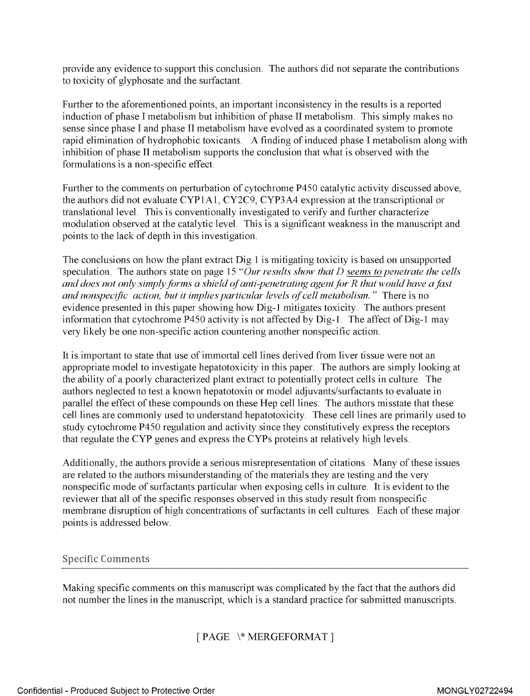provide any evidence to support this conclusion . The authors did not separate the contributions to toxicity of [glyphosate](https://www.baumhedlundlaw.com/) and the surfactant.

Further to the aforementioned points, an important inconsistency in the results is a reported induction of phase <sup>I</sup> metabolism but inhibition of phase <sup>11</sup> metabolism. This simply makes no sense since phase <sup>I</sup> and phase II metabolism have evolved as a coordinated system to promote rapid elimination of hydrophobic toxicants . A finding of induced phase <sup>I</sup> metabolism along with inhibition of phase II metabolism supports the conclusion that what is observed with the formulations is a non-specific effect.

Further to the comments on perturbation of cytochrome P450 catalytic activity discussed above, the authors did not evaluate CYP IA1, CY2C9, CYP3A4 expression at the transcriptional or translational level. This is conventionally investigated to verify and further characterize modulation observed at the catalytic level. This is a significant weakness in the manuscript and points to the lack of depth in this investigation.

The conclusions on how the plant extract Dig <sup>1</sup> is mitigating toxicity is based on unsupported speculation. The authors state on page 15 "Our results show that D seems to penetrate the cells and does not only simply forms a shield of anti-penetrating agent for  $R$  that would have a fast and nonspecific action, but it implies particular levels of cell metabolism. " There is no evidence presented in this paper showing how Dig-1 mitigates toxicity. The authors present information that cytochrome P450 activity is not affected by Dig-1. The affect of Dig-1 may very likely be one non-specific action countering another nonspecific action.

It is important to state that use of immortal cell lines derived from liver tissue were not an appropriate model to investigate hepatotoxicity in this paper. The authors are simply looking at the ability of a poorly characterized plant extract to potentially protect cells in culture. The authors neglected to test a known hepatotoxin or model adjuvants/surfactants to evaluate in parallel the effect of these compounds on these Hep cell lines. The authors misstate that these cell lines are commonly used to understand hepatotoxicity . These cell lines are primarily used to study cytochrome P450 regulation and activity since they constitutively express the receptors that regulate the CYP genes and express the CYPs proteins at relatively high levels.

Additionally, the authors provide <sup>a</sup> serious misrepresentation of citations . Many of these issues are related to the authors misunderstanding of the materials they are testing and the very nonspecific mode of surfactants particular when exposing cells in culture . It is evident to the reviewer that all of the specific responses observed in this study result from nonspecific membrane disruption of high concentrations of surfactants in cell cultures. Each of these major points is addressed below.

## Specific Comments

Making specific comments on this manuscript was complicated by the fact that the authors did not number the lines in the manuscript, which is a standard practice for submitted manuscripts.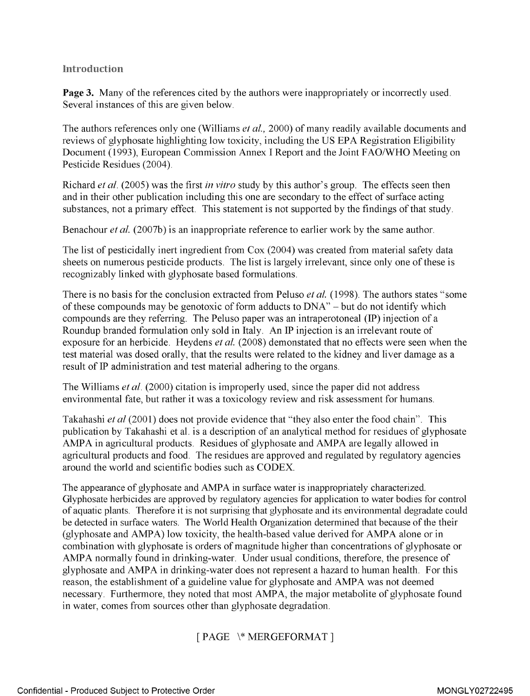## Introduction

**Page 3.** Many of the references cited by the authors were inappropriately or incorrectly used. Several instances of this are given below.

The authors references only one (Williams *et al.*, 2000) of many readily available documents and reviews of glyphosate highlighting low toxicity, including the US EPA Registration Eligibility Document (1993), European Commission Annex <sup>I</sup> Report and the Joint FAO/WHO Meeting on Pesticide Residues (2004).

Richard *et al.* (2005) was the first *in vitro* study by this author's group. The effects seen then and in their other publication including this one are secondary to the effect of surface acting substances, not a primary effect. This statement is not supported by the findings of that study.

Benachour *et al.* (2007b) is an inappropriate reference to earlier work by the same author.

The list of pesticidally inert ingredient from Cox (2004) was created from material safety data sheets on numerous pesticide products. The list is largely irrelevant, since only one of these is recognizably linked with glyphosate based formulations.

There is no basis for the conclusion extracted from Peluso *et al.* (1998). The authors states "some of these compounds may be genotoxic of form adducts to DNA" - but do not identify which compounds are they referring. The Peluso paper was an intraperotoneal (IP) injection of a Roundup branded formulation only sold in Italy. An IP injection is an irrelevant route of exposure for an herbicide. Heydens et al. (2008) demonstated that no effects were seen when the test material was dosed orally, that the results were related to the kidney and liver damage as a result of IP administration and test material adhering to the organs.

The Williams *et al.* (2000) citation is improperly used, since the paper did not address environmental fate, but rather it was a toxicology review and risk assessment for humans.

Takahashi et al (2001) does not provide evidence that "they also enter the food chain". This publication by Takahashi et al. is a description of an analytical method for residues of glyphosate AMPA in agricultural products. Residues of glyphosate and AMPA are legally allowed in agricultural products and food. The residues are approved and regulated by regulatory agencies around the world and scientific bodies such as CODEX.

The appearance of glyphosate and AMPA in surface water is inappropriately characterized. Glyphosate herbicides are approved by regulatory agencies for application to water bodies for control of aquatic plants. Therefore it is not surprising that glyphosate and its environmental degradate could be detected in surface waters. The World Health Organization determined that because of the their (glyphosate and AMPA) low toxicity, the health-based value derived for AMPA alone or in combination with glyphosate is orders of magnitude higher than concentrations of glyphosate or AMPA normally found in drinking-water. Under usual conditions, therefore, the presence of glyphosate and AMPA in drinking-water does not represent <sup>a</sup> hazard to human health. For this reason, the establishment of <sup>a</sup> guideline value for glyphosate and AMPA was not deemed necessary. Furthermore, they noted that most AMPA, the major metabolite of glyphosate found in water, comes from sources other than glyphosate degradation.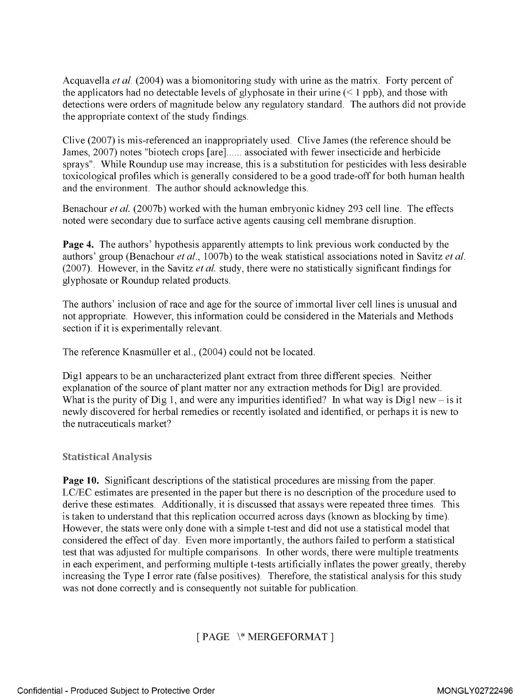Acquavella et al. (2004) was a biomonitoring study with urine as the matrix. Forty percent of the applicators had no detectable levels of glyphosate in their urine  $($  1 ppb), and those with detections were orders of magnitude below any regulatory standard. The authors did not provide the appropriate context of the study findings.

Clive (2007) is mis-referenced an inappropriately used. Clive James (the reference should be James, 2007) notes "biotech crops [are]...... associated with fewer insecticide and herbicide sprays". While Roundup use may increase, this is <sup>a</sup> substitution for pesticides with less desirable toxicological profiles which is generally considered to be a good trade-off for both human health and the environment. The author should acknowledge this.

Benachour *et al.* (2007b) worked with the human embryonic kidney 293 cell line. The effects noted were secondary due to surface active agents causing cell membrane disruption.

Page 4. The authors' hypothesis apparently attempts to link previous work conducted by the authors' group (Benachour et al., 1007b) to the weak statistical associations noted in Savitz et al. (2007). However, in the Savitz et al. study, there were no statistically significant findings for glyphosate or Roundup related products.

The authors' inclusion of race and age for the source of immortal liver cell lines is unusual and not appropriate. However, this information could be considered in the Materials and Methods section if it is experimentally relevant.

The reference Knasmuller et al., (2004) could not be located.

Digl appears to be an uncharacterized plant extract from three different species. Neither explanation of the source of plant matter nor any extraction methods for Digl are provided. What is the purity of Dig 1, and were any impurities identified? In what way is Dig1 new  $-$  is it newly discovered for herbal remedies or recently isolated and identified, or perhaps it is new to the nutraceuticals market?

## Statistical Analysis

Page 10. Significant descriptions of the statistical procedures are missing from the paper. LC/EC estimates are presented in the paper but there is no description of the procedure used to derive these estimates. Additionally, it is discussed that assays were repeated three times. This is taken to understand that this replication occurred across days (known as blocking by time). However, the stats were only done with a simple t-test and did not use a statistical model that considered the effect of day. Even more importantly, the authors failed to perform a statistical test that was adjusted for multiple comparisons. In other words, there were multiple treatments in each experiment, and performing multiple t-tests artificially inflates the power greatly, thereby increasing the Type <sup>I</sup> error rate (false positives). Therefore, the statistical analysis for this study was not done correctly and is consequently not suitable for publication.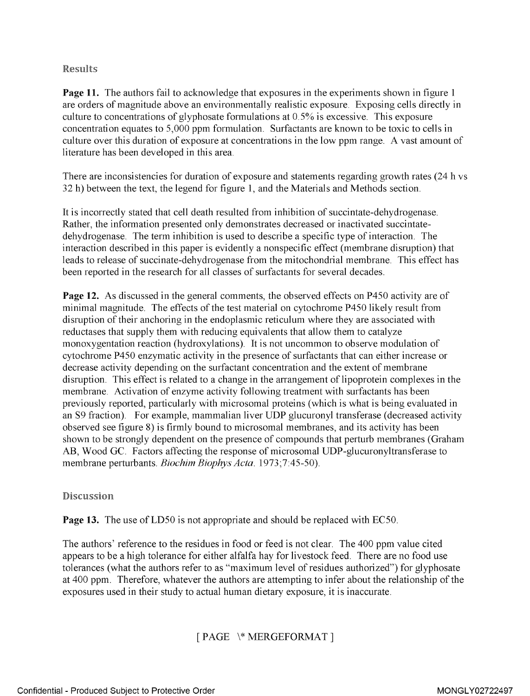## Results

**Page 11.** The authors fail to acknowledge that exposures in the experiments shown in figure 1 are orders of magnitude above an environmentally realistic exposure. Exposing cells directly in culture to concentrations of glyphosate formulations at  $0.5\%$  is excessive. This exposure concentration equates to 5,000 ppm formulation. Surfactants are known to be toxic to cells in culture over this duration of exposure at concentrations in the low ppm range. A vast amount of literature has been developed in this area.

There are inconsistencies for duration of exposure and statements regarding growth rates (24 h vs 32 h) between the text, the legend for figure 1, and the Materials and Methods section.

It is incorrectly stated that cell death resulted from inhibition of succintate-dehydrogenase. Rather, the information presented only demonstrates decreased or inactivated succintatedehydrogenase. The term inhibition is used to describe a specific type of interaction. The interaction described in this paper is evidently a nonspecific effect (membrane disruption) that leads to release of succinate-dehydrogenase from the mitochondrial membrane. This effect has been reported in the research for all classes of surfactants for several decades.

Page 12. As discussed in the general comments, the observed effects on P450 activity are of minimal magnitude. The effects of the test material on cytochrome P450 likely result from disruption of their anchoring in the endoplasmic reticulum where they are associated with reductases that supply them with reducing equivalents that allow them to catalyze monoxygentation reaction (hydroxylations). It is not uncommon to observe modulation of cytochrome P450 enzymatic activity in the presence of surfactants that can either increase or decrease activity depending on the surfactant concentration and the extent of membrane disruption. This effect is related to a change in the arrangement of lipoprotein complexes in the membrane. Activation of enzyme activity following treatment with surfactants has been previously reported, particularly with microsomal proteins (which is what is being evaluated in an S9 fraction). For example, mammalian liver UDP glucuronyl transferase (decreased activity observed see figure 8) is firmly bound to microsomal membranes, and its activity has been shown to be strongly dependent on the presence of compounds that perturb membranes (Graham AB, Wood GC. Factors affecting the response of microsomal UDP-glucuronyltransferase to membrane perturbants. Biochim Biophys Acta. 1973;7:45-50).

Discussion

**Page 13.** The use of LD50 is not appropriate and should be replaced with EC50.

The authors' reference to the residues in food or feed is not clear. The 400 ppm value cited appears to be a high tolerance for either alfalfa hay for livestock feed. There are no food use tolerances (what the authors refer to as "maximum level of residues authorized") for glyphosate at 400 ppm. Therefore, whatever the authors are attempting to infer about the relationship of the exposures used in their study to actual human dietary exposure, it is inaccurate.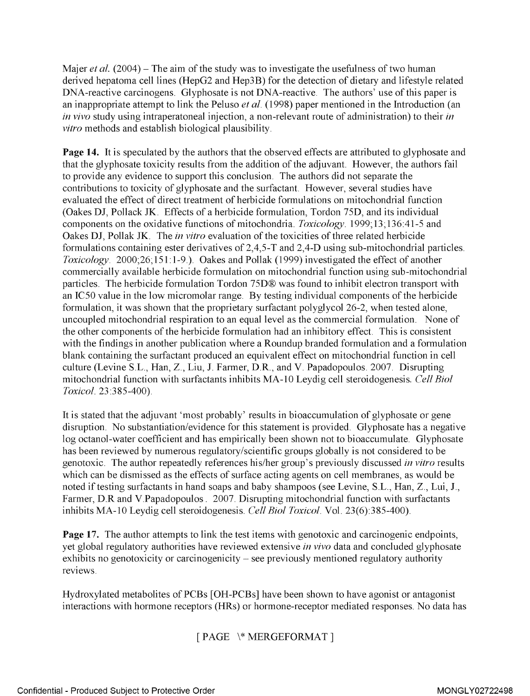Majer *et al.* (2004) – The aim of the study was to investigate the usefulness of two human derived hepatoma cell lines (HepG2 and Hep3B) for the detection of dietary and lifestyle related DNA-reactive carcinogens. Glyphosate is not DNA-reactive. The authors' use of this paper is an inappropriate attempt to link the Peluso *et al.* (1998) paper mentioned in the Introduction (an in vivo study using intraperatoneal injection, a non-relevant route of administration) to their in vitro methods and establish biological plausibility.

Page 14. It is speculated by the authors that the observed effects are attributed to glyphosate and that the glyphosate toxicity results from the addition of the adjuvant. However, the authors fail to provide any evidence to support this conclusion. The authors did not separate the contributions to toxicity of glyphosate and the surfactant. However, several studies have evaluated the effect of direct treatment of herbicide formulations on mitochondrial function (Oakes DJ, Pollack JK. Effects of a herbicide formulation, Tordon 75D, and its individual components on the oxidative functions of mitochondria. Toxicology. 1999;13;136:41-5 and Oakes DJ, Pollak JK. The *in vitro* evaluation of the toxicities of three related herbicide formulations containing ester derivatives of 2,4,5-T and 2,4-D using sub-mitochondrial particles. Toxicology. 2000;26;151:1-9.). Oakes and Pollak (1999) investigated the effect of another commercially available herbicide formulation on mitochondrial function using sub-mitochondrial particles. The herbicide formulation Tordon 75D® was found to inhibit electron transport with an IC50 value in the low micromolar range. By testing individual components of the herbicide formulation, it was shown that the proprietary surfactant polyglycol 26-2, when tested alone, uncoupled mitochondrial respiration to an equal level as the commercial formulation. None of the other components of the herbicide formulation had an inhibitory effect. This is consistent with the findings in another publication where a Roundup branded formulation and a formulation blank containing the surfactant produced an equivalent effect on mitochondrial function in cell culture (Levine S.L., Han, Z., Liu, J. Farmer, D.R., and V. Papadopoulos. 2007. Disrupting mitochondrial function with surfactants inhibits MA-10 Leydig cell steroidogenesis. Cell Biol Toxicol. 23 :3 85 -400).

It is stated that the adjuvant 'most probably' results in bioaccumulation of glyphosate or gene disruption. No substantiation/evidence for this statement is provided. Glyphosate has <sup>a</sup> negative log octanol-water coefficient and has empirically been shown not to bioaccumulate. Glyphosate has been reviewed by numerous regulatory/scientific groups globally is not considered to be genotoxic. The author repeatedly references his/her group's previously discussed in vitro results which can be dismissed as the effects of surface acting agents on cell membranes, as would be noted if testing surfactants in hand soaps and baby shampoos (see Levine, S.L., Han, Z., Lui, J., Farmer, D.R and V.Papadopoulos. 2007. Disrupting mitochondrial function with surfactants inhibits MA-10 Leydig cell steroidogenesis. Cell Biol Toxicol. Vol. 23(6):385-400).

Page 17. The author attempts to link the test items with genotoxic and carcinogenic endpoints, yet global regulatory authorities have reviewed extensive in vivo data and concluded glyphosate exhibits no genotoxicity or carcinogenicity – see previously mentioned regulatory authority reviews.

Hydroxylated metabolites of PCBs [OH-PCBs] have been shown to have agonist or antagonist interactions with hormone receptors (HRs) or hormone-receptor mediated responses. No data has